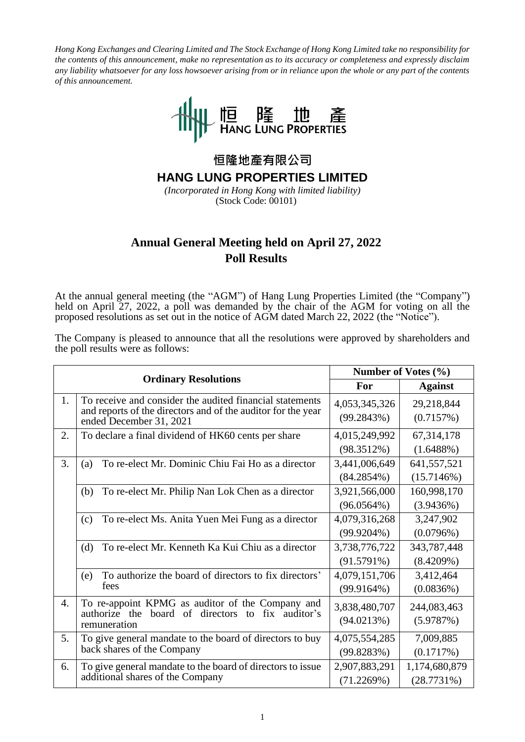*Hong Kong Exchanges and Clearing Limited and The Stock Exchange of Hong Kong Limited take no responsibility for the contents of this announcement, make no representation as to its accuracy or completeness and expressly disclaim any liability whatsoever for any loss howsoever arising from or in reliance upon the whole or any part of the contents of this announcement.* 



**恒隆地產有限公司**

**HANG LUNG PROPERTIES LIMITED**

*(Incorporated in Hong Kong with limited liability)* (Stock Code: 00101)

## **Annual General Meeting held on April 27, 2022 Poll Results**

At the annual general meeting (the "AGM") of Hang Lung Properties Limited (the "Company") held on April 27, 2022, a poll was demanded by the chair of the AGM for voting on all the proposed resolutions as set out in the notice of AGM dated March 22, 2022 (the "Notice").

The Company is pleased to announce that all the resolutions were approved by shareholders and the poll results were as follows:

|    |                                                                                                                                                     | Number of Votes $(\% )$        |                             |
|----|-----------------------------------------------------------------------------------------------------------------------------------------------------|--------------------------------|-----------------------------|
|    | <b>Ordinary Resolutions</b>                                                                                                                         | For                            | <b>Against</b>              |
| 1. | To receive and consider the audited financial statements<br>and reports of the directors and of the auditor for the year<br>ended December 31, 2021 | 4,053,345,326<br>(99.2843%)    | 29,218,844<br>(0.7157%)     |
| 2. | To declare a final dividend of HK60 cents per share                                                                                                 | 4,015,249,992<br>(98.3512%)    | 67,314,178<br>(1.6488%)     |
| 3. | To re-elect Mr. Dominic Chiu Fai Ho as a director<br>(a)                                                                                            | 3,441,006,649<br>$(84.2854\%)$ | 641,557,521<br>(15.7146%)   |
|    | To re-elect Mr. Philip Nan Lok Chen as a director<br>(b)                                                                                            | 3,921,566,000<br>$(96.0564\%)$ | 160,998,170<br>(3.9436%)    |
|    | To re-elect Ms. Anita Yuen Mei Fung as a director<br>(c)                                                                                            | 4,079,316,268<br>$(99.9204\%)$ | 3,247,902<br>(0.0796%)      |
|    | (d)<br>To re-elect Mr. Kenneth Ka Kui Chiu as a director                                                                                            | 3,738,776,722<br>$(91.5791\%)$ | 343,787,448<br>(8.4209%)    |
|    | To authorize the board of directors to fix directors'<br>(e)<br>fees                                                                                | 4,079,151,706<br>(99.9164%)    | 3,412,464<br>(0.0836%)      |
| 4. | To re-appoint KPMG as auditor of the Company and<br>board of<br>directors<br>fix auditor's<br>authorize the<br>to<br>remuneration                   | 3,838,480,707<br>(94.0213%)    | 244,083,463<br>(5.9787%)    |
| 5. | To give general mandate to the board of directors to buy<br>back shares of the Company                                                              | 4,075,554,285<br>(99.8283%)    | 7,009,885<br>(0.1717%)      |
| 6. | To give general mandate to the board of directors to issue<br>additional shares of the Company                                                      | 2,907,883,291<br>(71.2269%)    | 1,174,680,879<br>(28.7731%) |